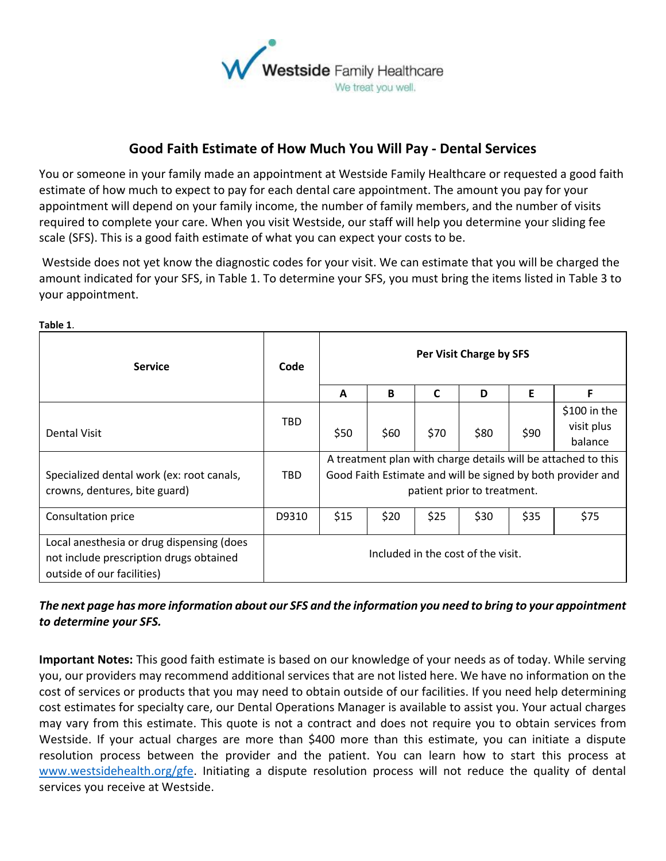

## **Good Faith Estimate of How Much You Will Pay - Dental Services**

You or someone in your family made an appointment at Westside Family Healthcare or requested a good faith estimate of how much to expect to pay for each dental care appointment. The amount you pay for your appointment will depend on your family income, the number of family members, and the number of visits required to complete your care. When you visit Westside, our staff will help you determine your sliding fee scale (SFS). This is a good faith estimate of what you can expect your costs to be.

Westside does not yet know the diagnostic codes for your visit. We can estimate that you will be charged the amount indicated for your SFS, in Table 1. To determine your SFS, you must bring the items listed in Table 3 to your appointment.

| <b>Service</b>                                                                                                     | Code                               | Per Visit Charge by SFS                                                                                                                                     |      |             |      |      |                                       |
|--------------------------------------------------------------------------------------------------------------------|------------------------------------|-------------------------------------------------------------------------------------------------------------------------------------------------------------|------|-------------|------|------|---------------------------------------|
|                                                                                                                    |                                    | A                                                                                                                                                           | B    | $\mathbf c$ | D    | E    | Е                                     |
| <b>Dental Visit</b>                                                                                                | TBD                                | \$50                                                                                                                                                        | \$60 | \$70        | \$80 | \$90 | \$100 in the<br>visit plus<br>balance |
| Specialized dental work (ex: root canals,<br>crowns, dentures, bite guard)                                         | TBD.                               | A treatment plan with charge details will be attached to this<br>Good Faith Estimate and will be signed by both provider and<br>patient prior to treatment. |      |             |      |      |                                       |
| Consultation price                                                                                                 | D9310                              | \$15                                                                                                                                                        | \$20 | \$25        | \$30 | \$35 | \$75                                  |
| Local anesthesia or drug dispensing (does<br>not include prescription drugs obtained<br>outside of our facilities) | Included in the cost of the visit. |                                                                                                                                                             |      |             |      |      |                                       |

## *The next page has more information about our SFS and the information you need to bring to your appointment to determine your SFS.*

**Important Notes:** This good faith estimate is based on our knowledge of your needs as of today. While serving you, our providers may recommend additional services that are not listed here. We have no information on the cost of services or products that you may need to obtain outside of our facilities. If you need help determining cost estimates for specialty care, our Dental Operations Manager is available to assist you. Your actual charges may vary from this estimate. This quote is not a contract and does not require you to obtain services from Westside. If your actual charges are more than \$400 more than this estimate, you can initiate a dispute resolution process between the provider and the patient. You can learn how to start this process at [www.westsidehealth.org/gfe.](http://www.westsidehealth.org/gfe) Initiating a dispute resolution process will not reduce the quality of dental services you receive at Westside.

**Table 1**.